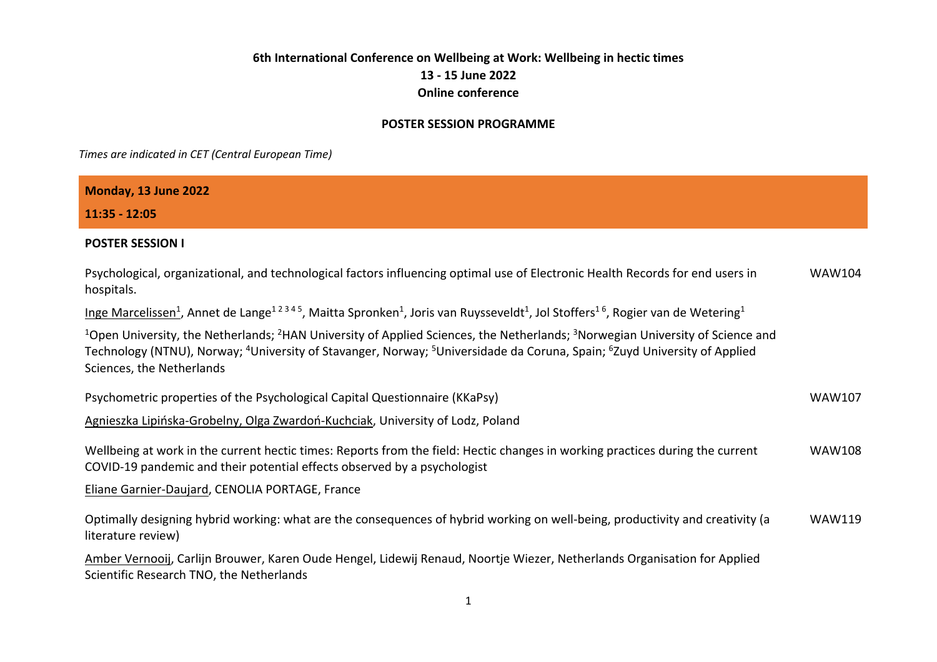## **6th International Conference on Wellbeing at Work: Wellbeing in hectic times 13 - 15 June 2022 Online conference**

## **POSTER SESSION PROGRAMME**

*Times are indicated in CET (Central European Time)*

| Monday, 13 June 2022                                                                                                                                                                                                                                                                                                                                           |               |
|----------------------------------------------------------------------------------------------------------------------------------------------------------------------------------------------------------------------------------------------------------------------------------------------------------------------------------------------------------------|---------------|
| 11:35 - 12:05                                                                                                                                                                                                                                                                                                                                                  |               |
| <b>POSTER SESSION I</b>                                                                                                                                                                                                                                                                                                                                        |               |
| Psychological, organizational, and technological factors influencing optimal use of Electronic Health Records for end users in<br>hospitals.                                                                                                                                                                                                                   | <b>WAW104</b> |
| Inge Marcelissen <sup>1</sup> , Annet de Lange <sup>12345</sup> , Maitta Spronken <sup>1</sup> , Joris van Ruysseveldt <sup>1</sup> , Jol Stoffers <sup>16</sup> , Rogier van de Wetering <sup>1</sup>                                                                                                                                                         |               |
| <sup>1</sup> Open University, the Netherlands; <sup>2</sup> HAN University of Applied Sciences, the Netherlands; <sup>3</sup> Norwegian University of Science and<br>Technology (NTNU), Norway; <sup>4</sup> University of Stavanger, Norway; <sup>5</sup> Universidade da Coruna, Spain; <sup>6</sup> Zuyd University of Applied<br>Sciences, the Netherlands |               |
| Psychometric properties of the Psychological Capital Questionnaire (KKaPsy)                                                                                                                                                                                                                                                                                    | <b>WAW107</b> |
| Agnieszka Lipińska-Grobelny, Olga Zwardoń-Kuchciak, University of Lodz, Poland                                                                                                                                                                                                                                                                                 |               |
| Wellbeing at work in the current hectic times: Reports from the field: Hectic changes in working practices during the current<br>COVID-19 pandemic and their potential effects observed by a psychologist                                                                                                                                                      | <b>WAW108</b> |
| Eliane Garnier-Daujard, CENOLIA PORTAGE, France                                                                                                                                                                                                                                                                                                                |               |
| Optimally designing hybrid working: what are the consequences of hybrid working on well-being, productivity and creativity (a<br>literature review)                                                                                                                                                                                                            | <b>WAW119</b> |
| Amber Vernooij, Carlijn Brouwer, Karen Oude Hengel, Lidewij Renaud, Noortje Wiezer, Netherlands Organisation for Applied<br>Scientific Research TNO, the Netherlands                                                                                                                                                                                           |               |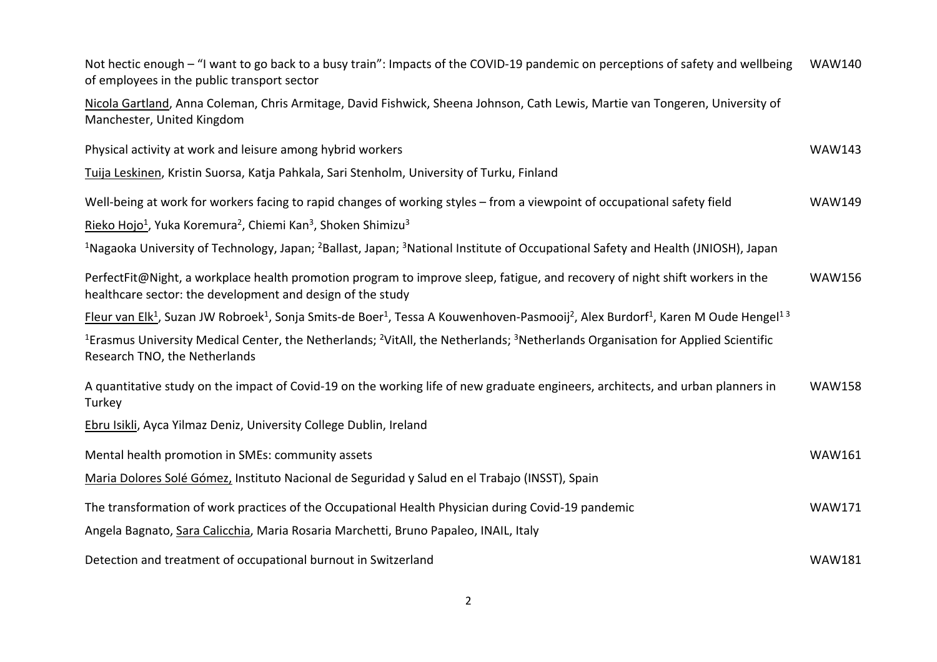| Not hectic enough – "I want to go back to a busy train": Impacts of the COVID-19 pandemic on perceptions of safety and wellbeing<br>of employees in the public transport sector                           | <b>WAW140</b> |
|-----------------------------------------------------------------------------------------------------------------------------------------------------------------------------------------------------------|---------------|
| Nicola Gartland, Anna Coleman, Chris Armitage, David Fishwick, Sheena Johnson, Cath Lewis, Martie van Tongeren, University of<br>Manchester, United Kingdom                                               |               |
| Physical activity at work and leisure among hybrid workers                                                                                                                                                | <b>WAW143</b> |
| Tuija Leskinen, Kristin Suorsa, Katja Pahkala, Sari Stenholm, University of Turku, Finland                                                                                                                |               |
| Well-being at work for workers facing to rapid changes of working styles - from a viewpoint of occupational safety field                                                                                  | <b>WAW149</b> |
| Rieko Hojo <sup>1</sup> , Yuka Koremura <sup>2</sup> , Chiemi Kan <sup>3</sup> , Shoken Shimizu <sup>3</sup>                                                                                              |               |
| <sup>1</sup> Nagaoka University of Technology, Japan; <sup>2</sup> Ballast, Japan; <sup>3</sup> National Institute of Occupational Safety and Health (JNIOSH), Japan                                      |               |
| PerfectFit@Night, a workplace health promotion program to improve sleep, fatigue, and recovery of night shift workers in the<br>healthcare sector: the development and design of the study                | <b>WAW156</b> |
| Fleur van Elk <sup>1</sup> , Suzan JW Robroek <sup>1</sup> , Sonja Smits-de Boer <sup>1</sup> , Tessa A Kouwenhoven-Pasmooij <sup>2</sup> , Alex Burdorf <sup>1</sup> , Karen M Oude Hengel <sup>13</sup> |               |
| <sup>1</sup> Erasmus University Medical Center, the Netherlands; <sup>2</sup> VitAll, the Netherlands; <sup>3</sup> Netherlands Organisation for Applied Scientific<br>Research TNO, the Netherlands      |               |
| A quantitative study on the impact of Covid-19 on the working life of new graduate engineers, architects, and urban planners in<br>Turkey                                                                 | <b>WAW158</b> |
| Ebru Isikli, Ayca Yilmaz Deniz, University College Dublin, Ireland                                                                                                                                        |               |
| Mental health promotion in SMEs: community assets                                                                                                                                                         | <b>WAW161</b> |
| Maria Dolores Solé Gómez, Instituto Nacional de Seguridad y Salud en el Trabajo (INSST), Spain                                                                                                            |               |
| The transformation of work practices of the Occupational Health Physician during Covid-19 pandemic                                                                                                        | <b>WAW171</b> |
| Angela Bagnato, Sara Calicchia, Maria Rosaria Marchetti, Bruno Papaleo, INAIL, Italy                                                                                                                      |               |
| Detection and treatment of occupational burnout in Switzerland                                                                                                                                            | <b>WAW181</b> |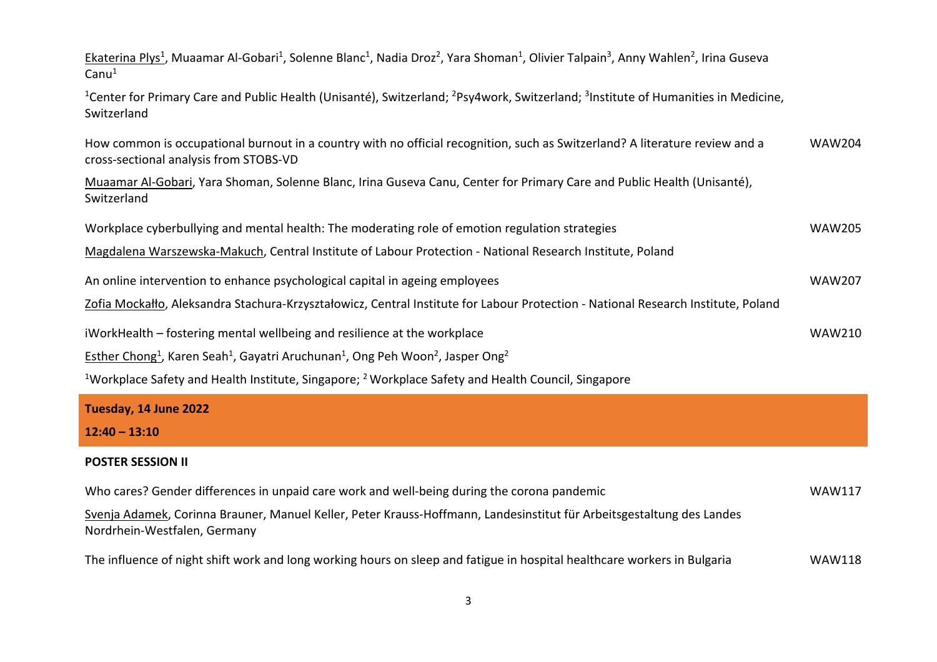| Ekaterina Plys <sup>1</sup> , Muaamar Al-Gobari <sup>1</sup> , Solenne Blanc <sup>1</sup> , Nadia Droz <sup>2</sup> , Yara Shoman <sup>1</sup> , Olivier Talpain <sup>3</sup> , Anny Wahlen <sup>2</sup> , Irina Guseva<br>Canu <sup>1</sup> |               |
|----------------------------------------------------------------------------------------------------------------------------------------------------------------------------------------------------------------------------------------------|---------------|
| <sup>1</sup> Center for Primary Care and Public Health (Unisanté), Switzerland; <sup>2</sup> Psy4work, Switzerland; <sup>3</sup> Institute of Humanities in Medicine,<br>Switzerland                                                         |               |
| How common is occupational burnout in a country with no official recognition, such as Switzerland? A literature review and a<br>cross-sectional analysis from STOBS-VD                                                                       | <b>WAW204</b> |
| Muaamar Al-Gobari, Yara Shoman, Solenne Blanc, Irina Guseva Canu, Center for Primary Care and Public Health (Unisanté),<br>Switzerland                                                                                                       |               |
| Workplace cyberbullying and mental health: The moderating role of emotion regulation strategies                                                                                                                                              | <b>WAW205</b> |
| Magdalena Warszewska-Makuch, Central Institute of Labour Protection - National Research Institute, Poland                                                                                                                                    |               |
| An online intervention to enhance psychological capital in ageing employees                                                                                                                                                                  | <b>WAW207</b> |
| Zofia Mockałło, Aleksandra Stachura-Krzyształowicz, Central Institute for Labour Protection - National Research Institute, Poland                                                                                                            |               |
| iWorkHealth - fostering mental wellbeing and resilience at the workplace                                                                                                                                                                     | <b>WAW210</b> |
| Esther Chong <sup>1</sup> , Karen Seah <sup>1</sup> , Gayatri Aruchunan <sup>1</sup> , Ong Peh Woon <sup>2</sup> , Jasper Ong <sup>2</sup>                                                                                                   |               |
| <sup>1</sup> Workplace Safety and Health Institute, Singapore; <sup>2</sup> Workplace Safety and Health Council, Singapore                                                                                                                   |               |
| Tuesday, 14 June 2022                                                                                                                                                                                                                        |               |
| $12:40 - 13:10$                                                                                                                                                                                                                              |               |
| <b>POSTER SESSION II</b>                                                                                                                                                                                                                     |               |
| Who cares? Gender differences in unpaid care work and well-being during the corona pandemic                                                                                                                                                  | <b>WAW117</b> |
| Svenja Adamek, Corinna Brauner, Manuel Keller, Peter Krauss-Hoffmann, Landesinstitut für Arbeitsgestaltung des Landes<br>Nordrhein-Westfalen, Germany                                                                                        |               |
| The influence of night shift work and long working hours on sleep and fatigue in hospital healthcare workers in Bulgaria                                                                                                                     | <b>WAW118</b> |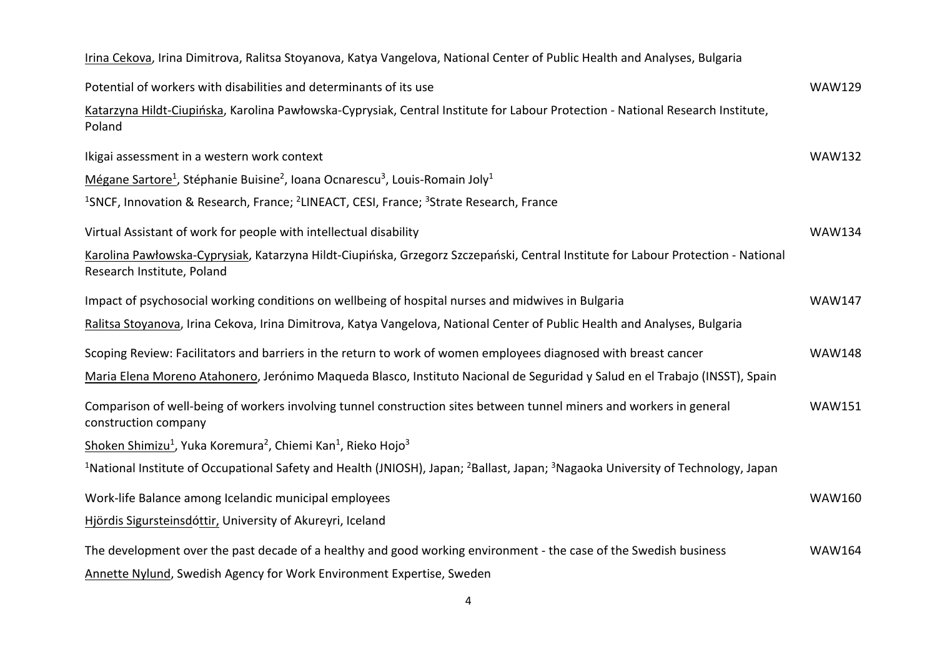| Irina Cekova, Irina Dimitrova, Ralitsa Stoyanova, Katya Vangelova, National Center of Public Health and Analyses, Bulgaria                                           |               |
|----------------------------------------------------------------------------------------------------------------------------------------------------------------------|---------------|
| Potential of workers with disabilities and determinants of its use                                                                                                   | <b>WAW129</b> |
| Katarzyna Hildt-Ciupińska, Karolina Pawłowska-Cyprysiak, Central Institute for Labour Protection - National Research Institute,<br>Poland                            |               |
| Ikigai assessment in a western work context                                                                                                                          | <b>WAW132</b> |
| Mégane Sartore <sup>1</sup> , Stéphanie Buisine <sup>2</sup> , Ioana Ocnarescu <sup>3</sup> , Louis-Romain Joly <sup>1</sup>                                         |               |
| <sup>1</sup> SNCF, Innovation & Research, France; <sup>2</sup> LINEACT, CESI, France; <sup>3</sup> Strate Research, France                                           |               |
| Virtual Assistant of work for people with intellectual disability                                                                                                    | <b>WAW134</b> |
| Karolina Pawłowska-Cyprysiak, Katarzyna Hildt-Ciupińska, Grzegorz Szczepański, Central Institute for Labour Protection - National<br>Research Institute, Poland      |               |
| Impact of psychosocial working conditions on wellbeing of hospital nurses and midwives in Bulgaria                                                                   | <b>WAW147</b> |
| Ralitsa Stoyanova, Irina Cekova, Irina Dimitrova, Katya Vangelova, National Center of Public Health and Analyses, Bulgaria                                           |               |
| Scoping Review: Facilitators and barriers in the return to work of women employees diagnosed with breast cancer                                                      | <b>WAW148</b> |
| Maria Elena Moreno Atahonero, Jerónimo Maqueda Blasco, Instituto Nacional de Seguridad y Salud en el Trabajo (INSST), Spain                                          |               |
| Comparison of well-being of workers involving tunnel construction sites between tunnel miners and workers in general<br>construction company                         | <b>WAW151</b> |
| Shoken Shimizu <sup>1</sup> , Yuka Koremura <sup>2</sup> , Chiemi Kan <sup>1</sup> , Rieko Hojo <sup>3</sup>                                                         |               |
| <sup>1</sup> National Institute of Occupational Safety and Health (JNIOSH), Japan; <sup>2</sup> Ballast, Japan; <sup>3</sup> Nagaoka University of Technology, Japan |               |
| Work-life Balance among Icelandic municipal employees                                                                                                                | <b>WAW160</b> |
| Hjördis Sigursteinsdóttir, University of Akureyri, Iceland                                                                                                           |               |
| The development over the past decade of a healthy and good working environment - the case of the Swedish business                                                    | <b>WAW164</b> |
| Annette Nylund, Swedish Agency for Work Environment Expertise, Sweden                                                                                                |               |